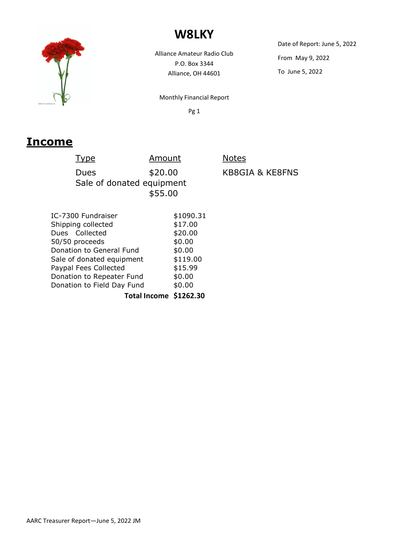

## **W8LKY**

Alliance Amateur Radio Club P.O. Box 3344 Alliance, OH 44601

Date of Report: June 5, 2022 From May 9, 2022 To June 5, 2022

Monthly Financial Report

Pg 1

**Notes** 

KB8GIA & KE8FNS

### **Income**

| Type               | Amount                    |
|--------------------|---------------------------|
| Dues               | \$20.00                   |
|                    | Sale of donated equipment |
|                    | \$55.00                   |
|                    |                           |
| IC-7300 Fundraiser | \$1090.31                 |
| Shipping collected | \$17.00                   |

| Shipping collected         | \$17.00  |  |
|----------------------------|----------|--|
| Dues Collected             | \$20.00  |  |
| 50/50 proceeds             | \$0.00   |  |
| Donation to General Fund   | \$0.00   |  |
| Sale of donated equipment  | \$119.00 |  |
| Paypal Fees Collected      | \$15.99  |  |
| Donation to Repeater Fund  | \$0.00   |  |
| Donation to Field Day Fund | \$0.00   |  |
|                            |          |  |

**Total Income \$1262.30**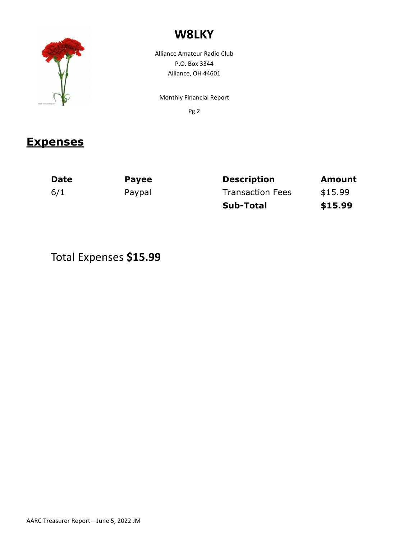

# **W8LKY**

Alliance Amateur Radio Club P.O. Box 3344 Alliance, OH 44601

Monthly Financial Report

Pg 2

#### **Expenses**

| <b>Date</b> | <b>Payee</b> | <b>Description</b>      | <b>Amount</b> |
|-------------|--------------|-------------------------|---------------|
| 6/1         | Paypal       | <b>Transaction Fees</b> | \$15.99       |
|             |              | <b>Sub-Total</b>        | \$15.99       |

## Total Expenses **\$15.99**